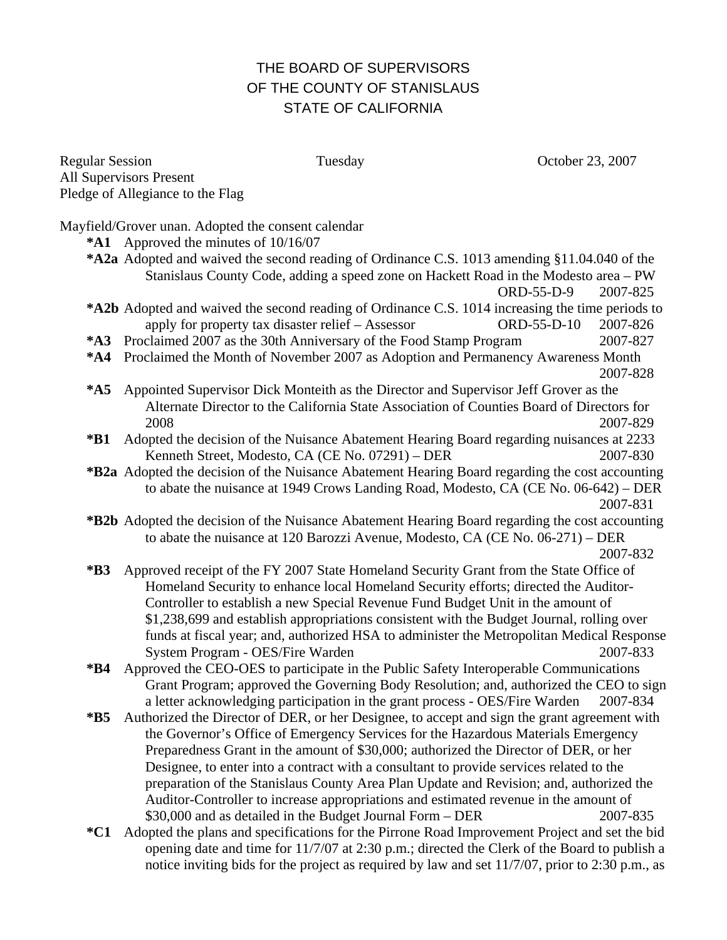# THE BOARD OF SUPERVISORS OF THE COUNTY OF STANISLAUS STATE OF CALIFORNIA

Regular Session Tuesday Corober 23, 2007 All Supervisors Present Pledge of Allegiance to the Flag

Mayfield/Grover unan. Adopted the consent calendar

- **\*A1** Approved the minutes of 10/16/07
- **\*A2a** Adopted and waived the second reading of Ordinance C.S. 1013 amending §11.04.040 of the Stanislaus County Code, adding a speed zone on Hackett Road in the Modesto area – PW ORD-55-D-9 2007-825

**\*A2b** Adopted and waived the second reading of Ordinance C.S. 1014 increasing the time periods to apply for property tax disaster relief – Assessor ORD-55-D-10 2007-826

- **\*A3** Proclaimed 2007 as the 30th Anniversary of the Food Stamp Program 2007-827
- **\*A4** Proclaimed the Month of November 2007 as Adoption and Permanency Awareness Month 2007-828
- **\*A5** Appointed Supervisor Dick Monteith as the Director and Supervisor Jeff Grover as the Alternate Director to the California State Association of Counties Board of Directors for 2008 2007-829
- **\*B1** Adopted the decision of the Nuisance Abatement Hearing Board regarding nuisances at 2233 Kenneth Street, Modesto, CA (CE No. 07291) – DER 2007-830
- **\*B2a** Adopted the decision of the Nuisance Abatement Hearing Board regarding the cost accounting to abate the nuisance at 1949 Crows Landing Road, Modesto, CA (CE No. 06-642) – DER 2007-831
- **\*B2b** Adopted the decision of the Nuisance Abatement Hearing Board regarding the cost accounting to abate the nuisance at 120 Barozzi Avenue, Modesto, CA (CE No. 06-271) – DER

2007-832

- **\*B3** Approved receipt of the FY 2007 State Homeland Security Grant from the State Office of Homeland Security to enhance local Homeland Security efforts; directed the Auditor-Controller to establish a new Special Revenue Fund Budget Unit in the amount of \$1,238,699 and establish appropriations consistent with the Budget Journal, rolling over funds at fiscal year; and, authorized HSA to administer the Metropolitan Medical Response System Program - OES/Fire Warden 2007-833
- **\*B4** Approved the CEO-OES to participate in the Public Safety Interoperable Communications Grant Program; approved the Governing Body Resolution; and, authorized the CEO to sign a letter acknowledging participation in the grant process - OES/Fire Warden 2007-834
- **\*B5** Authorized the Director of DER, or her Designee, to accept and sign the grant agreement with the Governor's Office of Emergency Services for the Hazardous Materials Emergency Preparedness Grant in the amount of \$30,000; authorized the Director of DER, or her Designee, to enter into a contract with a consultant to provide services related to the preparation of the Stanislaus County Area Plan Update and Revision; and, authorized the Auditor-Controller to increase appropriations and estimated revenue in the amount of \$30,000 and as detailed in the Budget Journal Form – DER 2007-835
- **\*C1** Adopted the plans and specifications for the Pirrone Road Improvement Project and set the bid opening date and time for 11/7/07 at 2:30 p.m.; directed the Clerk of the Board to publish a notice inviting bids for the project as required by law and set 11/7/07, prior to 2:30 p.m., as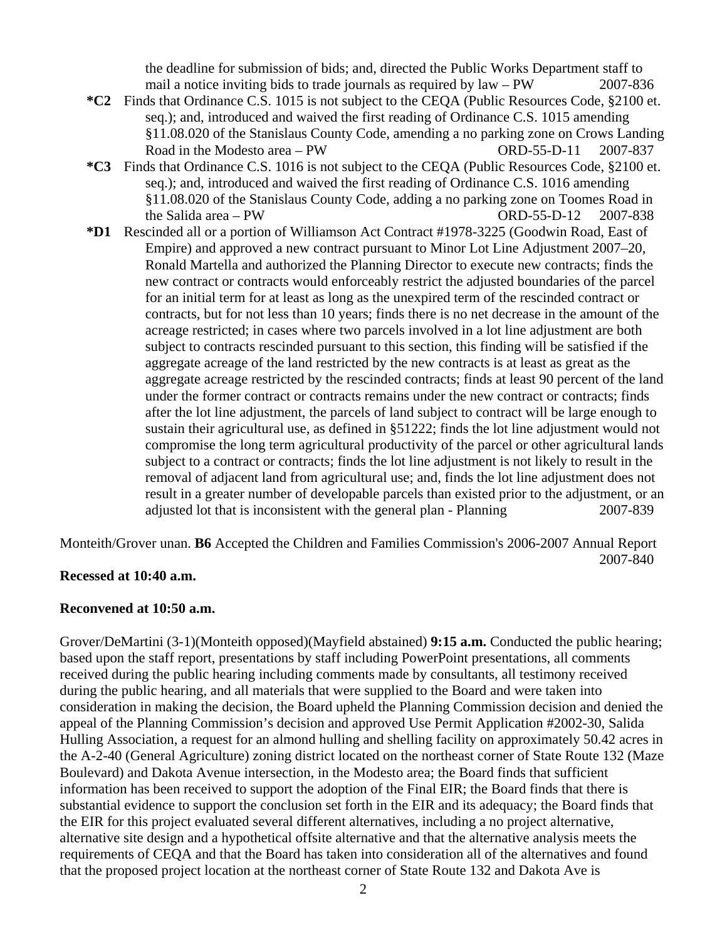the deadline for submission of bids; and, directed the Public Works Department staff to mail a notice inviting bids to trade journals as required by law – PW 2007-836

- **\*C2** Finds that Ordinance C.S. 1015 is not subject to the CEQA (Public Resources Code, §2100 et. seq.); and, introduced and waived the first reading of Ordinance C.S. 1015 amending §11.08.020 of the Stanislaus County Code, amending a no parking zone on Crows Landing Road in the Modesto area – PW ORD-55-D-11 2007-837
- **\*C3** Finds that Ordinance C.S. 1016 is not subject to the CEQA (Public Resources Code, §2100 et. seq.); and, introduced and waived the first reading of Ordinance C.S. 1016 amending §11.08.020 of the Stanislaus County Code, adding a no parking zone on Toomes Road in the Salida area – PW  $ORD-55-D-12$  2007-838
- **\*D1** Rescinded all or a portion of Williamson Act Contract #1978-3225 (Goodwin Road, East of Empire) and approved a new contract pursuant to Minor Lot Line Adjustment 2007–20, Ronald Martella and authorized the Planning Director to execute new contracts; finds the new contract or contracts would enforceably restrict the adjusted boundaries of the parcel for an initial term for at least as long as the unexpired term of the rescinded contract or contracts, but for not less than 10 years; finds there is no net decrease in the amount of the acreage restricted; in cases where two parcels involved in a lot line adjustment are both subject to contracts rescinded pursuant to this section, this finding will be satisfied if the aggregate acreage of the land restricted by the new contracts is at least as great as the aggregate acreage restricted by the rescinded contracts; finds at least 90 percent of the land under the former contract or contracts remains under the new contract or contracts; finds after the lot line adjustment, the parcels of land subject to contract will be large enough to sustain their agricultural use, as defined in §51222; finds the lot line adjustment would not compromise the long term agricultural productivity of the parcel or other agricultural lands subject to a contract or contracts; finds the lot line adjustment is not likely to result in the removal of adjacent land from agricultural use; and, finds the lot line adjustment does not result in a greater number of developable parcels than existed prior to the adjustment, or an adjusted lot that is inconsistent with the general plan - Planning 2007-839

Monteith/Grover unan. **B6** Accepted the Children and Families Commission's 2006-2007 Annual Report 2007-840

### **Recessed at 10:40 a.m.**

### **Reconvened at 10:50 a.m.**

Grover/DeMartini (3-1)(Monteith opposed)(Mayfield abstained) **9:15 a.m.** Conducted the public hearing; based upon the staff report, presentations by staff including PowerPoint presentations, all comments received during the public hearing including comments made by consultants, all testimony received during the public hearing, and all materials that were supplied to the Board and were taken into consideration in making the decision, the Board upheld the Planning Commission decision and denied the appeal of the Planning Commission's decision and approved Use Permit Application #2002-30, Salida Hulling Association, a request for an almond hulling and shelling facility on approximately 50.42 acres in the A-2-40 (General Agriculture) zoning district located on the northeast corner of State Route 132 (Maze Boulevard) and Dakota Avenue intersection, in the Modesto area; the Board finds that sufficient information has been received to support the adoption of the Final EIR; the Board finds that there is substantial evidence to support the conclusion set forth in the EIR and its adequacy; the Board finds that the EIR for this project evaluated several different alternatives, including a no project alternative, alternative site design and a hypothetical offsite alternative and that the alternative analysis meets the requirements of CEQA and that the Board has taken into consideration all of the alternatives and found that the proposed project location at the northeast corner of State Route 132 and Dakota Ave is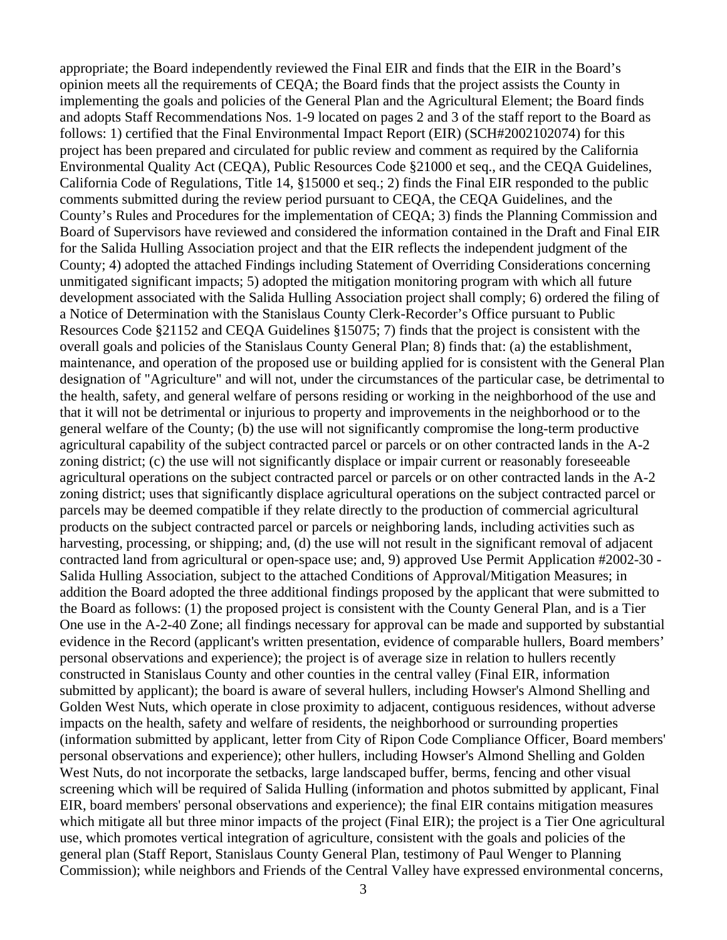appropriate; the Board independently reviewed the Final EIR and finds that the EIR in the Board's opinion meets all the requirements of CEQA; the Board finds that the project assists the County in implementing the goals and policies of the General Plan and the Agricultural Element; the Board finds and adopts Staff Recommendations Nos. 1-9 located on pages 2 and 3 of the staff report to the Board as follows: 1) certified that the Final Environmental Impact Report (EIR) (SCH#2002102074) for this project has been prepared and circulated for public review and comment as required by the California Environmental Quality Act (CEQA), Public Resources Code §21000 et seq., and the CEQA Guidelines, California Code of Regulations, Title 14, §15000 et seq.; 2) finds the Final EIR responded to the public comments submitted during the review period pursuant to CEQA, the CEQA Guidelines, and the County's Rules and Procedures for the implementation of CEQA; 3) finds the Planning Commission and Board of Supervisors have reviewed and considered the information contained in the Draft and Final EIR for the Salida Hulling Association project and that the EIR reflects the independent judgment of the County; 4) adopted the attached Findings including Statement of Overriding Considerations concerning unmitigated significant impacts; 5) adopted the mitigation monitoring program with which all future development associated with the Salida Hulling Association project shall comply; 6) ordered the filing of a Notice of Determination with the Stanislaus County Clerk-Recorder's Office pursuant to Public Resources Code §21152 and CEQA Guidelines §15075; 7) finds that the project is consistent with the overall goals and policies of the Stanislaus County General Plan; 8) finds that: (a) the establishment, maintenance, and operation of the proposed use or building applied for is consistent with the General Plan designation of "Agriculture" and will not, under the circumstances of the particular case, be detrimental to the health, safety, and general welfare of persons residing or working in the neighborhood of the use and that it will not be detrimental or injurious to property and improvements in the neighborhood or to the general welfare of the County; (b) the use will not significantly compromise the long-term productive agricultural capability of the subject contracted parcel or parcels or on other contracted lands in the A-2 zoning district; (c) the use will not significantly displace or impair current or reasonably foreseeable agricultural operations on the subject contracted parcel or parcels or on other contracted lands in the A-2 zoning district; uses that significantly displace agricultural operations on the subject contracted parcel or parcels may be deemed compatible if they relate directly to the production of commercial agricultural products on the subject contracted parcel or parcels or neighboring lands, including activities such as harvesting, processing, or shipping; and, (d) the use will not result in the significant removal of adjacent contracted land from agricultural or open-space use; and, 9) approved Use Permit Application #2002-30 - Salida Hulling Association, subject to the attached Conditions of Approval/Mitigation Measures; in addition the Board adopted the three additional findings proposed by the applicant that were submitted to the Board as follows: (1) the proposed project is consistent with the County General Plan, and is a Tier One use in the A-2-40 Zone; all findings necessary for approval can be made and supported by substantial evidence in the Record (applicant's written presentation, evidence of comparable hullers, Board members' personal observations and experience); the project is of average size in relation to hullers recently constructed in Stanislaus County and other counties in the central valley (Final EIR, information submitted by applicant); the board is aware of several hullers, including Howser's Almond Shelling and Golden West Nuts, which operate in close proximity to adjacent, contiguous residences, without adverse impacts on the health, safety and welfare of residents, the neighborhood or surrounding properties (information submitted by applicant, letter from City of Ripon Code Compliance Officer, Board members' personal observations and experience); other hullers, including Howser's Almond Shelling and Golden West Nuts, do not incorporate the setbacks, large landscaped buffer, berms, fencing and other visual screening which will be required of Salida Hulling (information and photos submitted by applicant, Final EIR, board members' personal observations and experience); the final EIR contains mitigation measures which mitigate all but three minor impacts of the project (Final EIR); the project is a Tier One agricultural use, which promotes vertical integration of agriculture, consistent with the goals and policies of the general plan (Staff Report, Stanislaus County General Plan, testimony of Paul Wenger to Planning Commission); while neighbors and Friends of the Central Valley have expressed environmental concerns,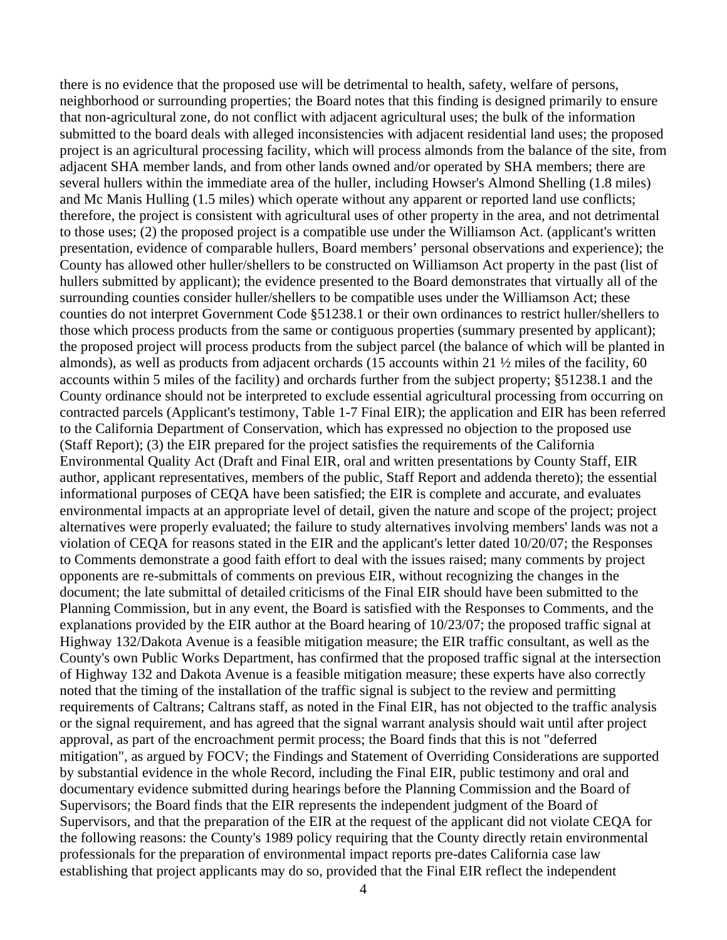there is no evidence that the proposed use will be detrimental to health, safety, welfare of persons, neighborhood or surrounding properties; the Board notes that this finding is designed primarily to ensure that non-agricultural zone, do not conflict with adjacent agricultural uses; the bulk of the information submitted to the board deals with alleged inconsistencies with adjacent residential land uses; the proposed project is an agricultural processing facility, which will process almonds from the balance of the site, from adjacent SHA member lands, and from other lands owned and/or operated by SHA members; there are several hullers within the immediate area of the huller, including Howser's Almond Shelling (1.8 miles) and Mc Manis Hulling (1.5 miles) which operate without any apparent or reported land use conflicts; therefore, the project is consistent with agricultural uses of other property in the area, and not detrimental to those uses; (2) the proposed project is a compatible use under the Williamson Act. (applicant's written presentation, evidence of comparable hullers, Board members' personal observations and experience); the County has allowed other huller/shellers to be constructed on Williamson Act property in the past (list of hullers submitted by applicant); the evidence presented to the Board demonstrates that virtually all of the surrounding counties consider huller/shellers to be compatible uses under the Williamson Act; these counties do not interpret Government Code §51238.1 or their own ordinances to restrict huller/shellers to those which process products from the same or contiguous properties (summary presented by applicant); the proposed project will process products from the subject parcel (the balance of which will be planted in almonds), as well as products from adjacent orchards (15 accounts within 21 ½ miles of the facility, 60 accounts within 5 miles of the facility) and orchards further from the subject property; §51238.1 and the County ordinance should not be interpreted to exclude essential agricultural processing from occurring on contracted parcels (Applicant's testimony, Table 1-7 Final EIR); the application and EIR has been referred to the California Department of Conservation, which has expressed no objection to the proposed use (Staff Report); (3) the EIR prepared for the project satisfies the requirements of the California Environmental Quality Act (Draft and Final EIR, oral and written presentations by County Staff, EIR author, applicant representatives, members of the public, Staff Report and addenda thereto); the essential informational purposes of CEQA have been satisfied; the EIR is complete and accurate, and evaluates environmental impacts at an appropriate level of detail, given the nature and scope of the project; project alternatives were properly evaluated; the failure to study alternatives involving members' lands was not a violation of CEQA for reasons stated in the EIR and the applicant's letter dated 10/20/07; the Responses to Comments demonstrate a good faith effort to deal with the issues raised; many comments by project opponents are re-submittals of comments on previous EIR, without recognizing the changes in the document; the late submittal of detailed criticisms of the Final EIR should have been submitted to the Planning Commission, but in any event, the Board is satisfied with the Responses to Comments, and the explanations provided by the EIR author at the Board hearing of 10/23/07; the proposed traffic signal at Highway 132/Dakota Avenue is a feasible mitigation measure; the EIR traffic consultant, as well as the County's own Public Works Department, has confirmed that the proposed traffic signal at the intersection of Highway 132 and Dakota Avenue is a feasible mitigation measure; these experts have also correctly noted that the timing of the installation of the traffic signal is subject to the review and permitting requirements of Caltrans; Caltrans staff, as noted in the Final EIR, has not objected to the traffic analysis or the signal requirement, and has agreed that the signal warrant analysis should wait until after project approval, as part of the encroachment permit process; the Board finds that this is not "deferred mitigation", as argued by FOCV; the Findings and Statement of Overriding Considerations are supported by substantial evidence in the whole Record, including the Final EIR, public testimony and oral and documentary evidence submitted during hearings before the Planning Commission and the Board of Supervisors; the Board finds that the EIR represents the independent judgment of the Board of Supervisors, and that the preparation of the EIR at the request of the applicant did not violate CEQA for the following reasons: the County's 1989 policy requiring that the County directly retain environmental professionals for the preparation of environmental impact reports pre-dates California case law establishing that project applicants may do so, provided that the Final EIR reflect the independent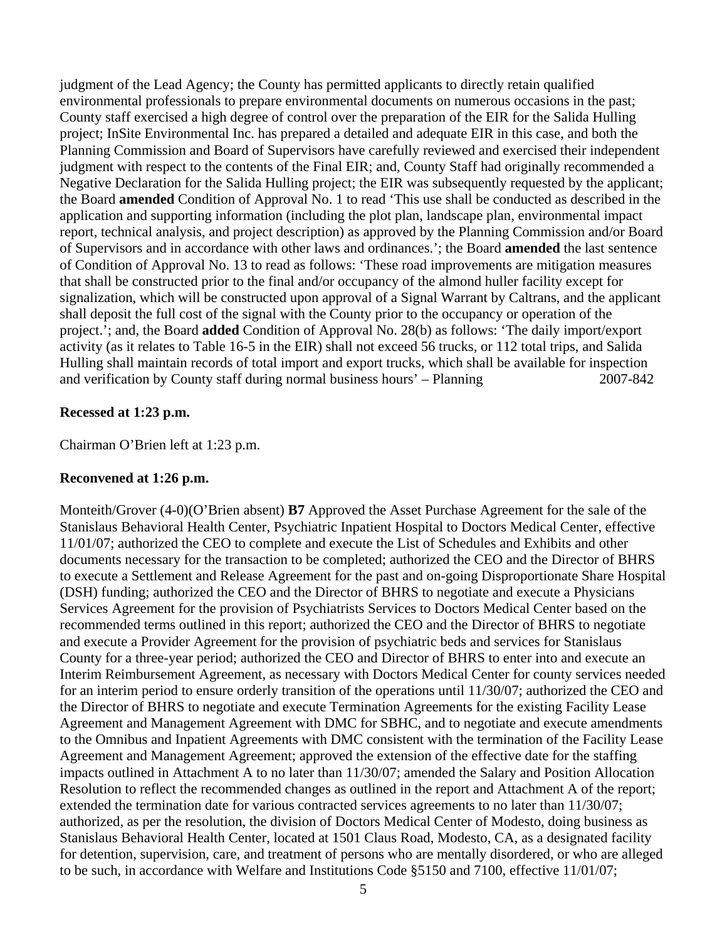judgment of the Lead Agency; the County has permitted applicants to directly retain qualified environmental professionals to prepare environmental documents on numerous occasions in the past; County staff exercised a high degree of control over the preparation of the EIR for the Salida Hulling project; InSite Environmental Inc. has prepared a detailed and adequate EIR in this case, and both the Planning Commission and Board of Supervisors have carefully reviewed and exercised their independent judgment with respect to the contents of the Final EIR; and, County Staff had originally recommended a Negative Declaration for the Salida Hulling project; the EIR was subsequently requested by the applicant; the Board **amended** Condition of Approval No. 1 to read 'This use shall be conducted as described in the application and supporting information (including the plot plan, landscape plan, environmental impact report, technical analysis, and project description) as approved by the Planning Commission and/or Board of Supervisors and in accordance with other laws and ordinances.'; the Board **amended** the last sentence of Condition of Approval No. 13 to read as follows: 'These road improvements are mitigation measures that shall be constructed prior to the final and/or occupancy of the almond huller facility except for signalization, which will be constructed upon approval of a Signal Warrant by Caltrans, and the applicant shall deposit the full cost of the signal with the County prior to the occupancy or operation of the project.'; and, the Board **added** Condition of Approval No. 28(b) as follows: 'The daily import/export activity (as it relates to Table 16-5 in the EIR) shall not exceed 56 trucks, or 112 total trips, and Salida Hulling shall maintain records of total import and export trucks, which shall be available for inspection and verification by County staff during normal business hours' – Planning 2007-842

## **Recessed at 1:23 p.m.**

Chairman O'Brien left at 1:23 p.m.

### **Reconvened at 1:26 p.m.**

Monteith/Grover (4-0)(O'Brien absent) **B7** Approved the Asset Purchase Agreement for the sale of the Stanislaus Behavioral Health Center, Psychiatric Inpatient Hospital to Doctors Medical Center, effective 11/01/07; authorized the CEO to complete and execute the List of Schedules and Exhibits and other documents necessary for the transaction to be completed; authorized the CEO and the Director of BHRS to execute a Settlement and Release Agreement for the past and on-going Disproportionate Share Hospital (DSH) funding; authorized the CEO and the Director of BHRS to negotiate and execute a Physicians Services Agreement for the provision of Psychiatrists Services to Doctors Medical Center based on the recommended terms outlined in this report; authorized the CEO and the Director of BHRS to negotiate and execute a Provider Agreement for the provision of psychiatric beds and services for Stanislaus County for a three-year period; authorized the CEO and Director of BHRS to enter into and execute an Interim Reimbursement Agreement, as necessary with Doctors Medical Center for county services needed for an interim period to ensure orderly transition of the operations until 11/30/07; authorized the CEO and the Director of BHRS to negotiate and execute Termination Agreements for the existing Facility Lease Agreement and Management Agreement with DMC for SBHC, and to negotiate and execute amendments to the Omnibus and Inpatient Agreements with DMC consistent with the termination of the Facility Lease Agreement and Management Agreement; approved the extension of the effective date for the staffing impacts outlined in Attachment A to no later than 11/30/07; amended the Salary and Position Allocation Resolution to reflect the recommended changes as outlined in the report and Attachment A of the report; extended the termination date for various contracted services agreements to no later than 11/30/07; authorized, as per the resolution, the division of Doctors Medical Center of Modesto, doing business as Stanislaus Behavioral Health Center, located at 1501 Claus Road, Modesto, CA, as a designated facility for detention, supervision, care, and treatment of persons who are mentally disordered, or who are alleged to be such, in accordance with Welfare and Institutions Code §5150 and 7100, effective 11/01/07;